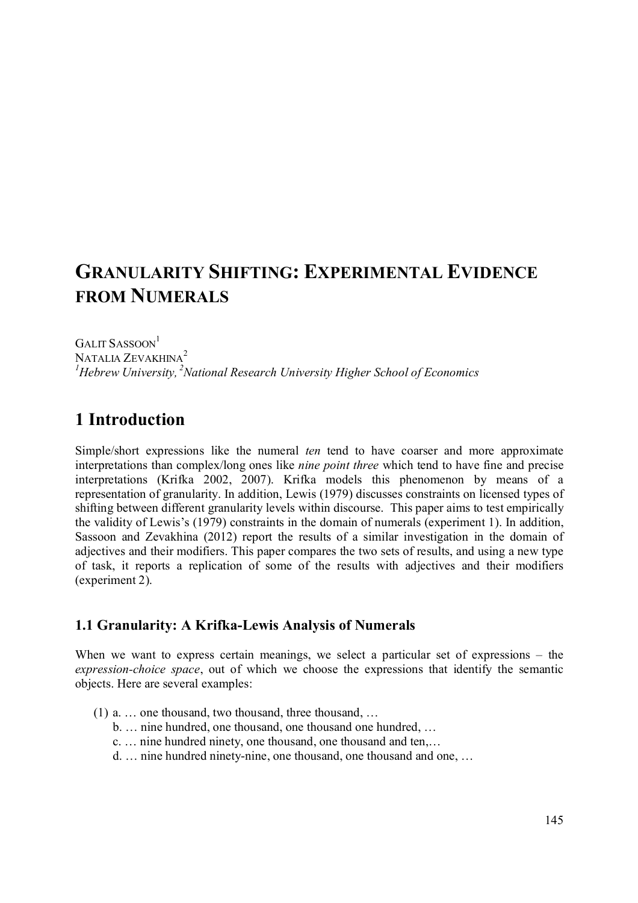# **GRANULARITY SHIFTING: EXPERIMENTAL EVIDENCE FROM NUMERALS**

GALIT SASSOON<sup>1</sup> NATALIA ZEVAKHINA<sup>2</sup> *<sup>1</sup>Hebrew University, <sup>2</sup>National Research University Higher School of Economics* 

# **1 Introduction**

Simple/short expressions like the numeral *ten* tend to have coarser and more approximate interpretations than complex/long ones like *nine point three* which tend to have fine and precise interpretations (Krifka 2002, 2007). Krifka models this phenomenon by means of a representation of granularity. In addition, Lewis (1979) discusses constraints on licensed types of shifting between different granularity levels within discourse. This paper aims to test empirically the validity of Lewis's (1979) constraints in the domain of numerals (experiment 1). In addition, Sassoon and Zevakhina (2012) report the results of a similar investigation in the domain of adjectives and their modifiers. This paper compares the two sets of results, and using a new type of task, it reports a replication of some of the results with adjectives and their modifiers (experiment 2).

### **1.1 Granularity: A Krifka-Lewis Analysis of Numerals**

When we want to express certain meanings, we select a particular set of expressions – the *expression-choice space*, out of which we choose the expressions that identify the semantic objects. Here are several examples:

- (1) a. … one thousand, two thousand, three thousand, …
	- b. … nine hundred, one thousand, one thousand one hundred, …
	- c. … nine hundred ninety, one thousand, one thousand and ten,…
	- d. … nine hundred ninety-nine, one thousand, one thousand and one, …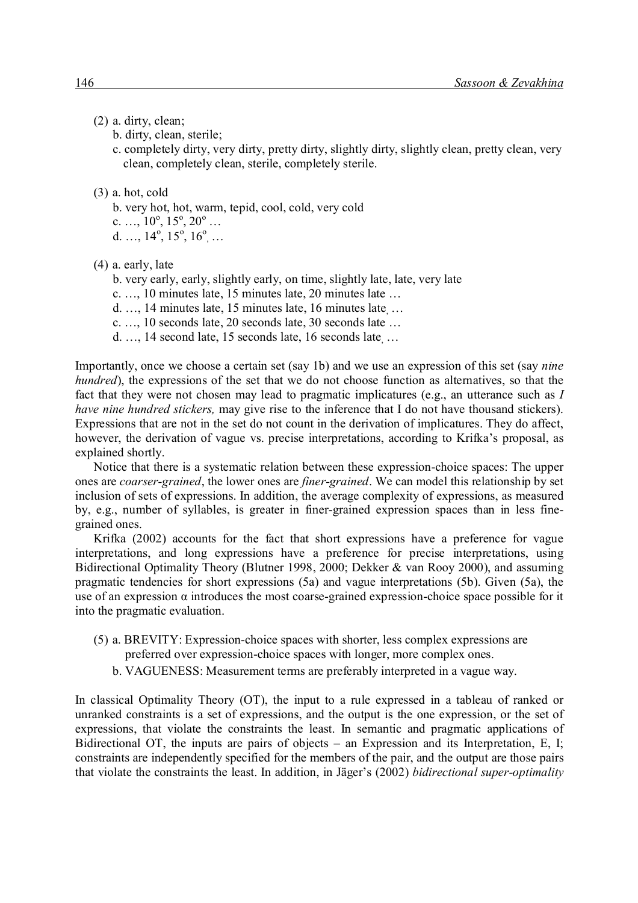#### (2) a. dirty, clean;

- b. dirty, clean, sterile;
- c. completely dirty, very dirty, pretty dirty, slightly dirty, slightly clean, pretty clean, very clean, completely clean, sterile, completely sterile.

#### (3) a. hot, cold

- b. very hot, hot, warm, tepid, cool, cold, very cold c.  $\ldots$ ,  $10^{\circ}$ ,  $15^{\circ}$ ,  $20^{\circ}$   $\ldots$
- d.  $..., 14^{\circ}, 15^{\circ}, 16^{\circ}, ...$
- (4) a. early, late
	- b. very early, early, slightly early, on time, slightly late, late, very late
	- c. …, 10 minutes late, 15 minutes late, 20 minutes late …
	- d. …, 14 minutes late, 15 minutes late, 16 minutes late, …
	- c. …, 10 seconds late, 20 seconds late, 30 seconds late …
	- d. …, 14 second late, 15 seconds late, 16 seconds late, …

Importantly, once we choose a certain set (say 1b) and we use an expression of this set (say *nine hundred*), the expressions of the set that we do not choose function as alternatives, so that the fact that they were not chosen may lead to pragmatic implicatures (e.g., an utterance such as *I have nine hundred stickers,* may give rise to the inference that I do not have thousand stickers). Expressions that are not in the set do not count in the derivation of implicatures. They do affect, however, the derivation of vague vs. precise interpretations, according to Krifka's proposal, as explained shortly.

Notice that there is a systematic relation between these expression-choice spaces: The upper ones are *coarser-grained*, the lower ones are *finer-grained*. We can model this relationship by set inclusion of sets of expressions. In addition, the average complexity of expressions, as measured by, e.g., number of syllables, is greater in finer-grained expression spaces than in less finegrained ones.

Krifka (2002) accounts for the fact that short expressions have a preference for vague interpretations, and long expressions have a preference for precise interpretations, using Bidirectional Optimality Theory (Blutner 1998, 2000; Dekker & van Rooy 2000), and assuming pragmatic tendencies for short expressions (5a) and vague interpretations (5b). Given (5a), the use of an expression α introduces the most coarse-grained expression-choice space possible for it into the pragmatic evaluation.

- (5) a. BREVITY: Expression-choice spaces with shorter, less complex expressions are
	- preferred over expression-choice spaces with longer, more complex ones.
	- b. VAGUENESS: Measurement terms are preferably interpreted in a vague way.

In classical Optimality Theory (OT), the input to a rule expressed in a tableau of ranked or unranked constraints is a set of expressions, and the output is the one expression, or the set of expressions, that violate the constraints the least. In semantic and pragmatic applications of Bidirectional OT, the inputs are pairs of objects – an Expression and its Interpretation, E, I; constraints are independently specified for the members of the pair, and the output are those pairs that violate the constraints the least. In addition, in Jäger's (2002) *bidirectional super-optimality*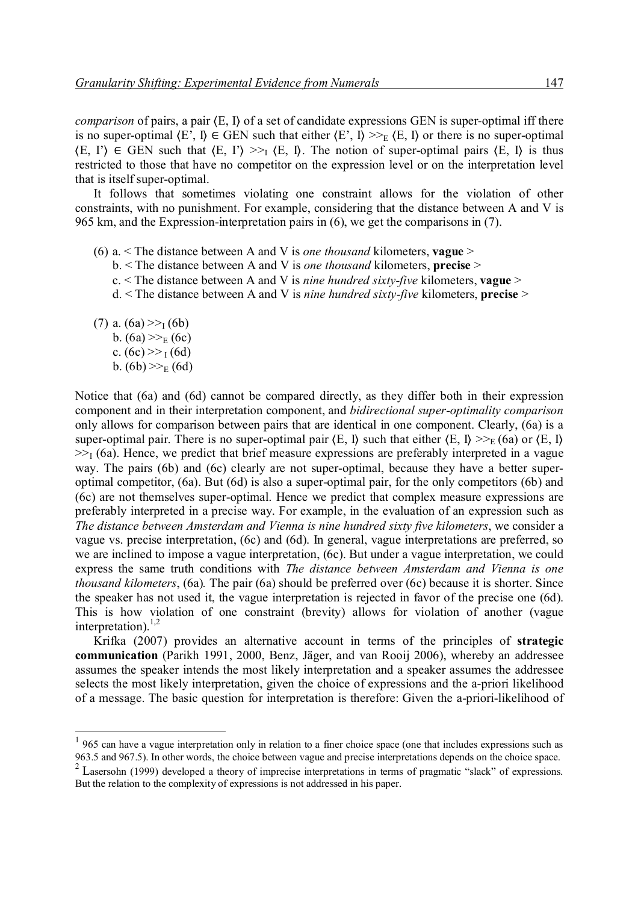*comparison* of pairs, a pair  $\langle E, I \rangle$  of a set of candidate expressions GEN is super-optimal iff there is no super-optimal  $\langle E', I \rangle \in GEN$  such that either  $\langle E', I \rangle \gg_E \langle E, I \rangle$  or there is no super-optimal  $\langle E, \Gamma \rangle \in \text{GEN such that } \langle E, \Gamma \rangle \gg_{\Gamma} \langle E, \Gamma \rangle$ . The notion of super-optimal pairs  $\langle E, \Gamma \rangle$  is thus restricted to those that have no competitor on the expression level or on the interpretation level that is itself super-optimal.

It follows that sometimes violating one constraint allows for the violation of other constraints, with no punishment. For example, considering that the distance between A and V is 965 km, and the Expression-interpretation pairs in (6), we get the comparisons in (7).

- (6) a. < The distance between A and V is *one thousand* kilometers, **vague** >
	- b. < The distance between A and V is *one thousand* kilometers, **precise** >
	- c. < The distance between A and V is *nine hundred sixty-five* kilometers, **vague** >
	- d. < The distance between A and V is *nine hundred sixty-five* kilometers, **precise** >

(7) a.  $(6a) \gg(6b)$ b.  $(6a) \gg_E (6c)$ c.  $(6c) \gg 1 (6d)$ b.  $(6b) \gg_E (6d)$ 

-

Notice that (6a) and (6d) cannot be compared directly, as they differ both in their expression component and in their interpretation component, and *bidirectional super-optimality comparison* only allows for comparison between pairs that are identical in one component. Clearly, (6a) is a super-optimal pair. There is no super-optimal pair  $\langle E, I \rangle$  such that either  $\langle E, I \rangle \geq E(6a)$  or  $\langle E, I \rangle$  $\gg$ <sub>I</sub> (6a). Hence, we predict that brief measure expressions are preferably interpreted in a vague way. The pairs (6b) and (6c) clearly are not super-optimal, because they have a better superoptimal competitor, (6a). But (6d) is also a super-optimal pair, for the only competitors (6b) and (6c) are not themselves super-optimal. Hence we predict that complex measure expressions are preferably interpreted in a precise way. For example, in the evaluation of an expression such as *The distance between Amsterdam and Vienna is nine hundred sixty five kilometers*, we consider a vague vs. precise interpretation, (6c) and (6d). In general, vague interpretations are preferred, so we are inclined to impose a vague interpretation, (6c). But under a vague interpretation, we could express the same truth conditions with *The distance between Amsterdam and Vienna is one thousand kilometers*, (6a)*.* The pair (6a) should be preferred over (6c) because it is shorter. Since the speaker has not used it, the vague interpretation is rejected in favor of the precise one (6d). This is how violation of one constraint (brevity) allows for violation of another (vague interpretation). $^{1,2}$ 

Krifka (2007) provides an alternative account in terms of the principles of **strategic communication** (Parikh 1991, 2000, Benz, Jäger, and van Rooij 2006), whereby an addressee assumes the speaker intends the most likely interpretation and a speaker assumes the addressee selects the most likely interpretation, given the choice of expressions and the a-priori likelihood of a message. The basic question for interpretation is therefore: Given the a-priori-likelihood of

 $1$  965 can have a vague interpretation only in relation to a finer choice space (one that includes expressions such as 963.5 and 967.5). In other words, the choice between vague and precise interpretations depends on the choice space.

<sup>&</sup>lt;sup>2</sup> Lasersohn (1999) developed a theory of imprecise interpretations in terms of pragmatic "slack" of expressions. But the relation to the complexity of expressions is not addressed in his paper.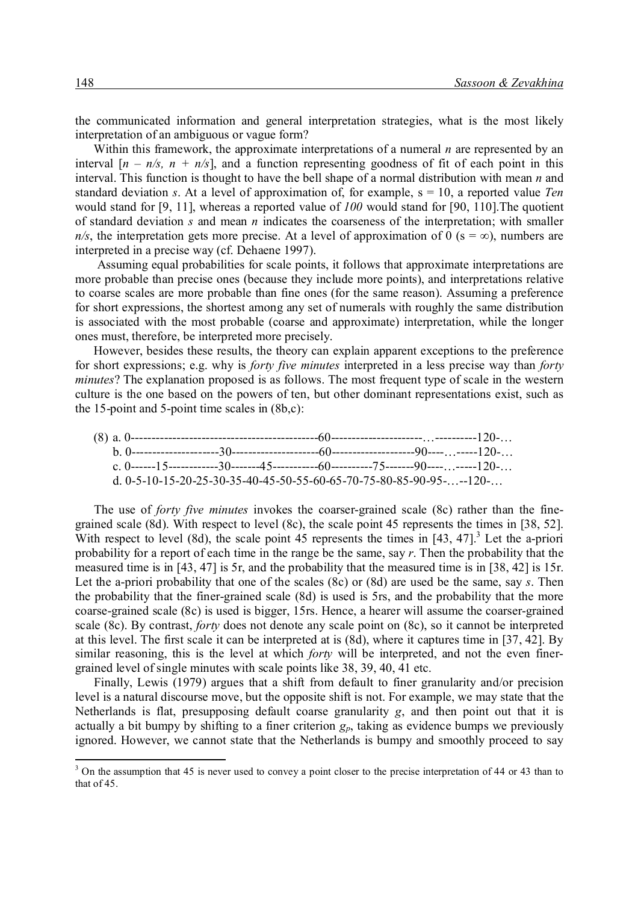the communicated information and general interpretation strategies, what is the most likely interpretation of an ambiguous or vague form?

Within this framework, the approximate interpretations of a numeral *n* are represented by an interval  $[n - n/s, n + n/s]$ , and a function representing goodness of fit of each point in this interval. This function is thought to have the bell shape of a normal distribution with mean *n* and standard deviation *s*. At a level of approximation of, for example, s = 10, a reported value *Ten* would stand for [9, 11], whereas a reported value of *100* would stand for [90, 110].The quotient of standard deviation *s* and mean *n* indicates the coarseness of the interpretation; with smaller  $n/s$ , the interpretation gets more precise. At a level of approximation of 0 (s = ∞), numbers are interpreted in a precise way (cf. Dehaene 1997).

Assuming equal probabilities for scale points, it follows that approximate interpretations are more probable than precise ones (because they include more points), and interpretations relative to coarse scales are more probable than fine ones (for the same reason). Assuming a preference for short expressions, the shortest among any set of numerals with roughly the same distribution is associated with the most probable (coarse and approximate) interpretation, while the longer ones must, therefore, be interpreted more precisely.

However, besides these results, the theory can explain apparent exceptions to the preference for short expressions; e.g. why is *forty five minutes* interpreted in a less precise way than *forty minutes*? The explanation proposed is as follows. The most frequent type of scale in the western culture is the one based on the powers of ten, but other dominant representations exist, such as the 15-point and 5-point time scales in (8b,c):

|  | d. 0-5-10-15-20-25-30-35-40-45-50-55-60-65-70-75-80-85-90-95---120- |  |
|--|---------------------------------------------------------------------|--|

The use of *forty five minutes* invokes the coarser-grained scale (8c) rather than the finegrained scale (8d). With respect to level (8c), the scale point 45 represents the times in [38, 52]. With respect to level (8d), the scale point  $45$  represents the times in  $[43, 47]$ .<sup>3</sup> Let the a-priori probability for a report of each time in the range be the same, say *r*. Then the probability that the measured time is in [43, 47] is 5r, and the probability that the measured time is in [38, 42] is 15r. Let the a-priori probability that one of the scales (8c) or (8d) are used be the same, say *s*. Then the probability that the finer-grained scale (8d) is used is 5rs, and the probability that the more coarse-grained scale (8c) is used is bigger, 15rs. Hence, a hearer will assume the coarser-grained scale (8c). By contrast, *forty* does not denote any scale point on (8c), so it cannot be interpreted at this level. The first scale it can be interpreted at is (8d), where it captures time in [37, 42]. By similar reasoning, this is the level at which *forty* will be interpreted, and not the even finergrained level of single minutes with scale points like 38, 39, 40, 41 etc.

Finally, Lewis (1979) argues that a shift from default to finer granularity and/or precision level is a natural discourse move, but the opposite shift is not. For example, we may state that the Netherlands is flat, presupposing default coarse granularity *g*, and then point out that it is actually a bit bumpy by shifting to a finer criterion  $g_p$ , taking as evidence bumps we previously ignored. However, we cannot state that the Netherlands is bumpy and smoothly proceed to say

 $3$  On the assumption that 45 is never used to convey a point closer to the precise interpretation of 44 or 43 than to that of 45.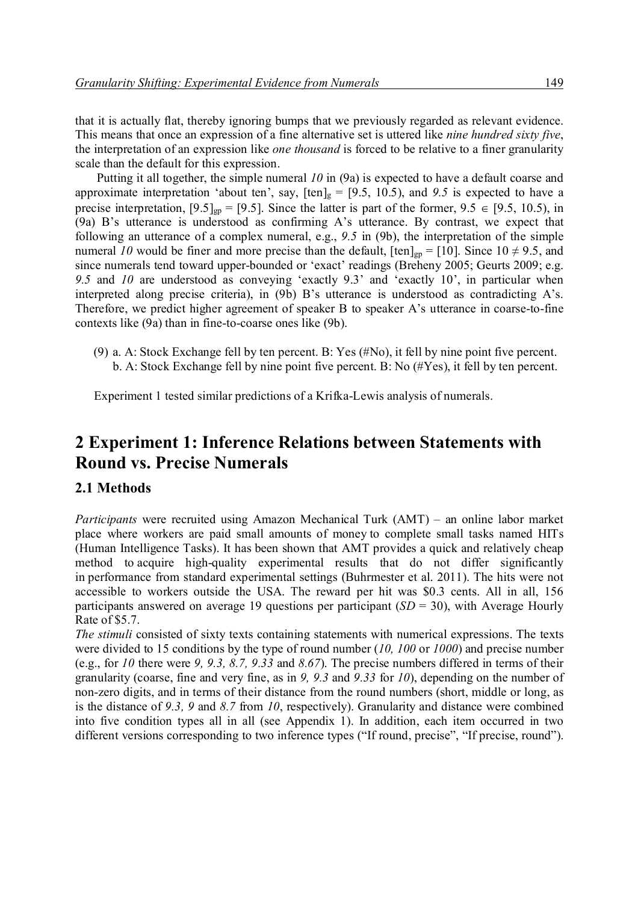that it is actually flat, thereby ignoring bumps that we previously regarded as relevant evidence. This means that once an expression of a fine alternative set is uttered like *nine hundred sixty five*, the interpretation of an expression like *one thousand* is forced to be relative to a finer granularity scale than the default for this expression.

Putting it all together, the simple numeral *10* in (9a) is expected to have a default coarse and approximate interpretation 'about ten', say,  $[\text{ten}]_g = [9.5, 10.5)$ , and 9.5 is expected to have a precise interpretation,  $[9.5]_{gp} = [9.5]$ . Since the latter is part of the former,  $9.5 \in [9.5, 10.5)$ , in (9a) B's utterance is understood as confirming A's utterance. By contrast, we expect that following an utterance of a complex numeral, e.g., *9.5* in (9b), the interpretation of the simple numeral *10* would be finer and more precise than the default,  $[\text{ten}]_{gp} = [10]$ . Since  $10 \neq 9.5$ , and since numerals tend toward upper-bounded or 'exact' readings (Breheny 2005; Geurts 2009; e.g. *9.5* and *10* are understood as conveying 'exactly 9.3' and 'exactly 10', in particular when interpreted along precise criteria), in (9b) B's utterance is understood as contradicting A's. Therefore, we predict higher agreement of speaker B to speaker A's utterance in coarse-to-fine contexts like (9a) than in fine-to-coarse ones like (9b).

(9) a. A: Stock Exchange fell by ten percent. B: Yes (#No), it fell by nine point five percent. b. A: Stock Exchange fell by nine point five percent. B: No (#Yes), it fell by ten percent.

Experiment 1 tested similar predictions of a Krifka-Lewis analysis of numerals.

### **2 Experiment 1: Inference Relations between Statements with Round vs. Precise Numerals**

#### **2.1 Methods**

*Participants* were recruited using Amazon Mechanical Turk (AMT) – an online labor market place where workers are paid small amounts of money to complete small tasks named HITs (Human Intelligence Tasks). It has been shown that AMT provides a quick and relatively cheap method to acquire high-quality experimental results that do not differ significantly in performance from standard experimental settings (Buhrmester et al. 2011). The hits were not accessible to workers outside the USA. The reward per hit was \$0.3 cents. All in all, 156 participants answered on average 19 questions per participant (*SD* = 30), with Average Hourly Rate of \$5.7.

*The stimuli* consisted of sixty texts containing statements with numerical expressions. The texts were divided to 15 conditions by the type of round number (*10, 100* or *1000*) and precise number (e.g., for *10* there were *9, 9.3, 8.7, 9.33* and *8.67*). The precise numbers differed in terms of their granularity (coarse, fine and very fine, as in *9, 9.3* and *9.33* for *10*), depending on the number of non-zero digits, and in terms of their distance from the round numbers (short, middle or long, as is the distance of *9.3, 9* and *8.7* from *10*, respectively). Granularity and distance were combined into five condition types all in all (see Appendix 1). In addition, each item occurred in two different versions corresponding to two inference types ("If round, precise", "If precise, round").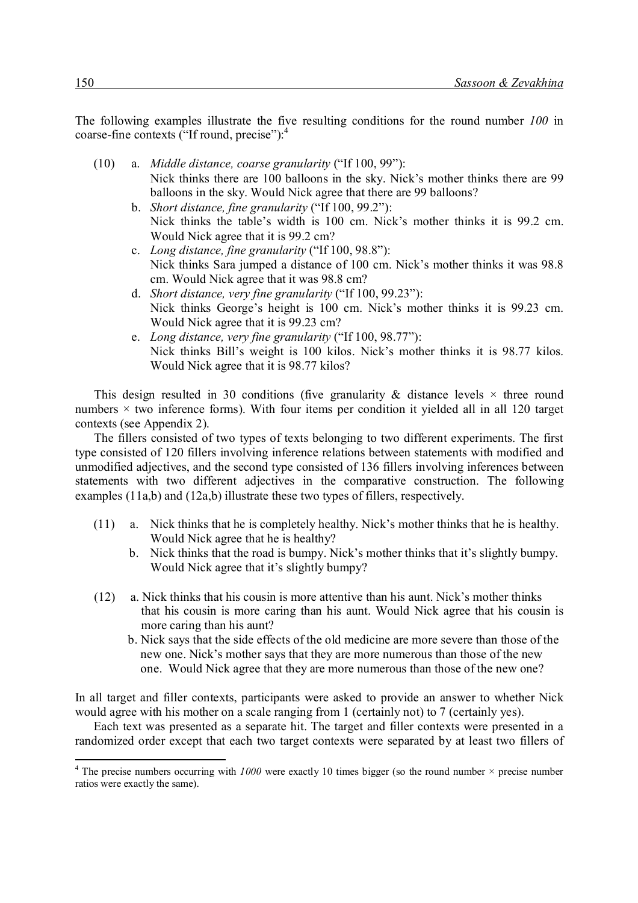The following examples illustrate the five resulting conditions for the round number *100* in coarse-fine contexts ("If round, precise"):<sup>4</sup>

- (10) a. *Middle distance, coarse granularity* ("If 100, 99"): Nick thinks there are 100 balloons in the sky. Nick's mother thinks there are 99 balloons in the sky. Would Nick agree that there are 99 balloons?
	- b. *Short distance, fine granularity* ("If 100, 99.2"): Nick thinks the table's width is 100 cm. Nick's mother thinks it is 99.2 cm. Would Nick agree that it is 99.2 cm?
	- c. *Long distance, fine granularity* ("If 100, 98.8"): Nick thinks Sara jumped a distance of 100 cm. Nick's mother thinks it was 98.8 cm. Would Nick agree that it was 98.8 cm?
	- d. *Short distance, very fine granularity* ("If 100, 99.23"): Nick thinks George's height is 100 cm. Nick's mother thinks it is 99.23 cm. Would Nick agree that it is 99.23 cm?
	- e. *Long distance, very fine granularity* ("If 100, 98.77"): Nick thinks Bill's weight is 100 kilos. Nick's mother thinks it is 98.77 kilos. Would Nick agree that it is 98.77 kilos?

This design resulted in 30 conditions (five granularity  $\&$  distance levels  $\times$  three round numbers  $\times$  two inference forms). With four items per condition it yielded all in all 120 target contexts (see Appendix 2).

The fillers consisted of two types of texts belonging to two different experiments. The first type consisted of 120 fillers involving inference relations between statements with modified and unmodified adjectives, and the second type consisted of 136 fillers involving inferences between statements with two different adjectives in the comparative construction. The following examples (11a,b) and (12a,b) illustrate these two types of fillers, respectively.

- (11) a. Nick thinks that he is completely healthy. Nick's mother thinks that he is healthy. Would Nick agree that he is healthy?
	- b. Nick thinks that the road is bumpy. Nick's mother thinks that it's slightly bumpy. Would Nick agree that it's slightly bumpy?
- (12) a. Nick thinks that his cousin is more attentive than his aunt. Nick's mother thinks that his cousin is more caring than his aunt. Would Nick agree that his cousin is more caring than his aunt?
	- b. Nick says that the side effects of the old medicine are more severe than those of the new one. Nick's mother says that they are more numerous than those of the new one. Would Nick agree that they are more numerous than those of the new one?

In all target and filler contexts, participants were asked to provide an answer to whether Nick would agree with his mother on a scale ranging from 1 (certainly not) to 7 (certainly yes).

Each text was presented as a separate hit. The target and filler contexts were presented in a randomized order except that each two target contexts were separated by at least two fillers of

<sup>&</sup>lt;sup>4</sup> The precise numbers occurring with  $1000$  were exactly 10 times bigger (so the round number  $\times$  precise number ratios were exactly the same).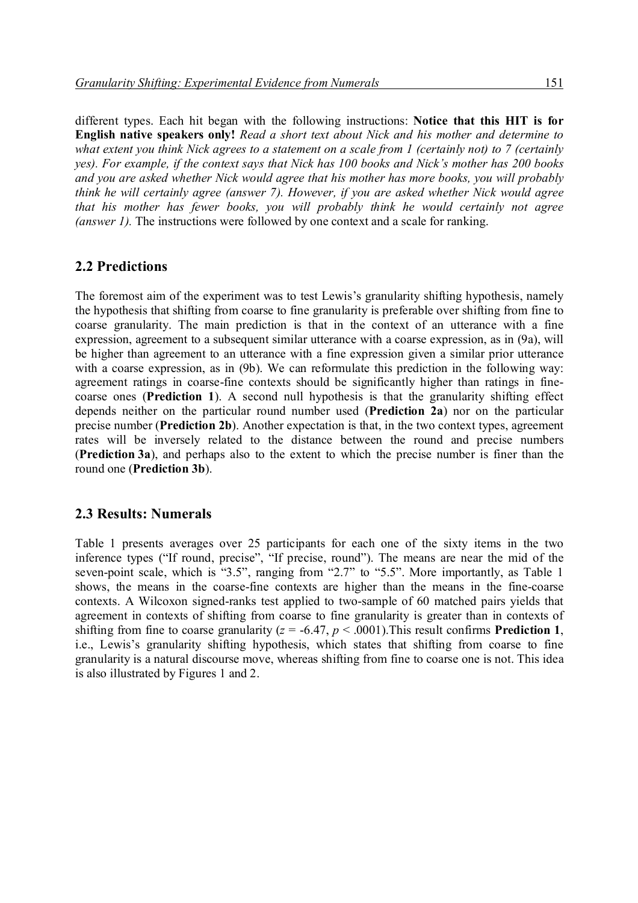different types. Each hit began with the following instructions: **Notice that this HIT is for English native speakers only!** *Read a short text about Nick and his mother and determine to what extent you think Nick agrees to a statement on a scale from 1 (certainly not) to 7 (certainly yes). For example, if the context says that Nick has 100 books and Nick's mother has 200 books and you are asked whether Nick would agree that his mother has more books, you will probably think he will certainly agree (answer 7). However, if you are asked whether Nick would agree that his mother has fewer books, you will probably think he would certainly not agree (answer 1).* The instructions were followed by one context and a scale for ranking.

#### **2.2 Predictions**

The foremost aim of the experiment was to test Lewis's granularity shifting hypothesis, namely the hypothesis that shifting from coarse to fine granularity is preferable over shifting from fine to coarse granularity. The main prediction is that in the context of an utterance with a fine expression, agreement to a subsequent similar utterance with a coarse expression, as in (9a), will be higher than agreement to an utterance with a fine expression given a similar prior utterance with a coarse expression, as in (9b). We can reformulate this prediction in the following way: agreement ratings in coarse-fine contexts should be significantly higher than ratings in finecoarse ones (**Prediction 1**). A second null hypothesis is that the granularity shifting effect depends neither on the particular round number used (**Prediction 2a**) nor on the particular precise number (**Prediction 2b**). Another expectation is that, in the two context types, agreement rates will be inversely related to the distance between the round and precise numbers (**Prediction 3a**), and perhaps also to the extent to which the precise number is finer than the round one (**Prediction 3b**).

#### **2.3 Results: Numerals**

Table 1 presents averages over 25 participants for each one of the sixty items in the two inference types ("If round, precise", "If precise, round"). The means are near the mid of the seven-point scale, which is "3.5", ranging from "2.7" to "5.5". More importantly, as Table 1 shows, the means in the coarse-fine contexts are higher than the means in the fine-coarse contexts. A Wilcoxon signed-ranks test applied to two-sample of 60 matched pairs yields that agreement in contexts of shifting from coarse to fine granularity is greater than in contexts of shifting from fine to coarse granularity ( $z = -6.47$ ,  $p < .0001$ ). This result confirms **Prediction 1**, i.e., Lewis's granularity shifting hypothesis, which states that shifting from coarse to fine granularity is a natural discourse move, whereas shifting from fine to coarse one is not. This idea is also illustrated by Figures 1 and 2.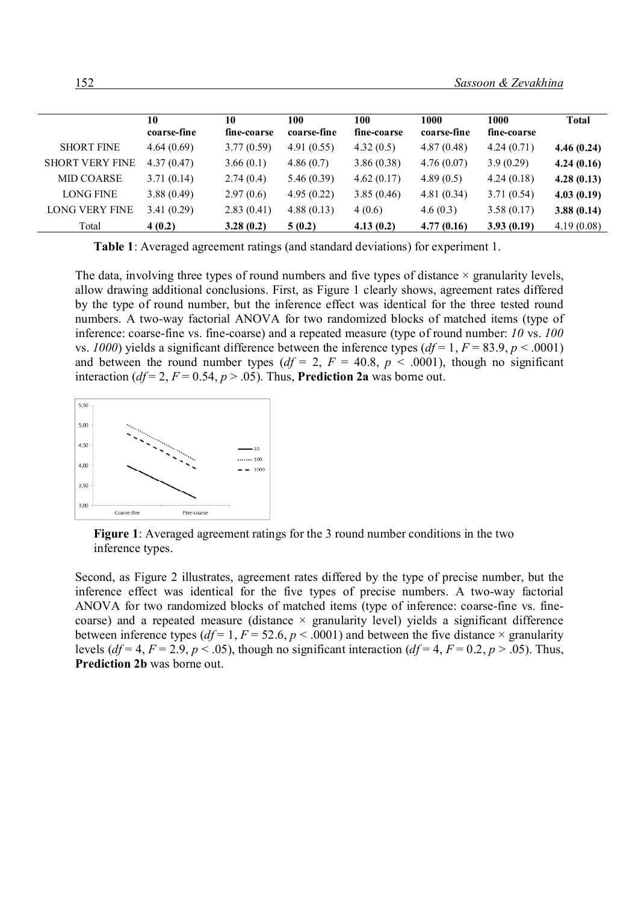|                        | 10<br>coarse-fine | 10<br>fine-coarse | 100<br>coarse-fine | 100<br>fine-coarse | 1000<br>coarse-fine | 1000<br>fine-coarse | <b>Total</b> |
|------------------------|-------------------|-------------------|--------------------|--------------------|---------------------|---------------------|--------------|
| <b>SHORT FINE</b>      | 4.64(0.69)        | 3.77(0.59)        | 4.91(0.55)         | 4.32(0.5)          | 4.87(0.48)          | 4.24(0.71)          | 4.46(0.24)   |
| <b>SHORT VERY FINE</b> | 4.37(0.47)        | 3.66(0.1)         | 4.86(0.7)          | 3.86(0.38)         | 4.76(0.07)          | 3.9(0.29)           | 4.24(0.16)   |
| <b>MID COARSE</b>      | 3.71(0.14)        | 2.74(0.4)         | 5.46(0.39)         | 4.62(0.17)         | 4.89(0.5)           | 4.24(0.18)          | 4.28(0.13)   |
| LONG FINE              | 3.88(0.49)        | 2.97(0.6)         | 4.95(0.22)         | 3.85(0.46)         | 4.81(0.34)          | 3.71(0.54)          | 4.03(0.19)   |
| <b>LONG VERY FINE</b>  | 3.41(0.29)        | 2.83(0.41)        | 4.88(0.13)         | 4(0.6)             | 4.6(0.3)            | 3.58(0.17)          | 3.88(0.14)   |
| Total                  | 4(0.2)            | 3.28(0.2)         | 5(0.2)             | 4.13(0.2)          | 4.77(0.16)          | 3.93(0.19)          | 4.19(0.08)   |

**Table 1**: Averaged agreement ratings (and standard deviations) for experiment 1.

The data, involving three types of round numbers and five types of distance  $\times$  granularity levels, allow drawing additional conclusions. First, as Figure 1 clearly shows, agreement rates differed by the type of round number, but the inference effect was identical for the three tested round numbers. A two-way factorial ANOVA for two randomized blocks of matched items (type of inference: coarse-fine vs. fine-coarse) and a repeated measure (type of round number: *10* vs. *100* vs. *1000*) yields a significant difference between the inference types  $(df = 1, F = 83.9, p < .0001)$ and between the round number types  $(df = 2, F = 40.8, p < .0001)$ , though no significant interaction ( $df = 2$ ,  $F = 0.54$ ,  $p > .05$ ). Thus, **Prediction 2a** was borne out.



**Figure 1**: Averaged agreement ratings for the 3 round number conditions in the two inference types.

Second, as Figure 2 illustrates, agreement rates differed by the type of precise number, but the inference effect was identical for the five types of precise numbers. A two-way factorial ANOVA for two randomized blocks of matched items (type of inference: coarse-fine vs. finecoarse) and a repeated measure (distance  $\times$  granularity level) yields a significant difference between inference types ( $df = 1, F = 52.6, p < .0001$ ) and between the five distance  $\times$  granularity levels ( $df = 4$ ,  $F = 2.9$ ,  $p < .05$ ), though no significant interaction ( $df = 4$ ,  $F = 0.2$ ,  $p > .05$ ). Thus, **Prediction 2b** was borne out.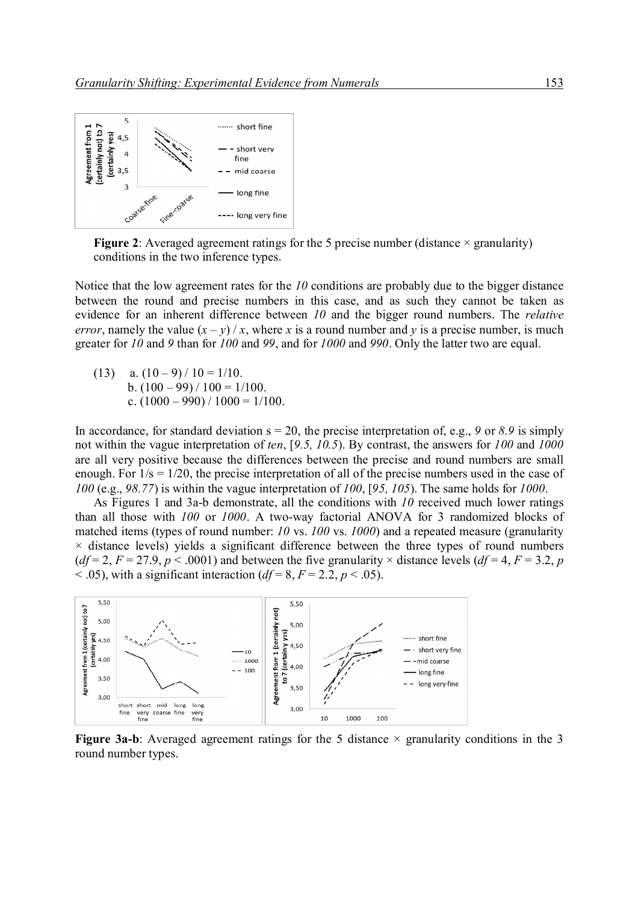

**Figure 2**: Averaged agreement ratings for the 5 precise number (distance  $\times$  granularity) conditions in the two inference types.

Notice that the low agreement rates for the *10* conditions are probably due to the bigger distance between the round and precise numbers in this case, and as such they cannot be taken as evidence for an inherent difference between *10* and the bigger round numbers. The *relative error*, namely the value  $(x - y) / x$ , where *x* is a round number and *y* is a precise number, is much greater for *10* and *9* than for *100* and *99*, and for *1000* and *990*. Only the latter two are equal.

(13) a.  $(10-9)/10 = 1/10$ . b.  $(100 - 99) / 100 = 1/100$ . c.  $(1000 - 990) / 1000 = 1/100$ .

In accordance, for standard deviation  $s = 20$ , the precise interpretation of, e.g., 9 or 8.9 is simply not within the vague interpretation of *ten*, [*9.5, 10.5*). By contrast, the answers for *100* and *1000* are all very positive because the differences between the precise and round numbers are small enough. For 1/s = 1/20, the precise interpretation of all of the precise numbers used in the case of *100* (e.g., *98.77*) is within the vague interpretation of *100*, [*95, 105*). The same holds for *1000*.

As Figures 1 and 3a-b demonstrate, all the conditions with *10* received much lower ratings than all those with *100* or *1000*. A two-way factorial ANOVA for 3 randomized blocks of matched items (types of round number: *10* vs. *100* vs. *1000*) and a repeated measure (granularity  $\times$  distance levels) yields a significant difference between the three types of round numbers ( $df = 2$ ,  $F = 27.9$ ,  $p < .0001$ ) and between the five granularity  $\times$  distance levels ( $df = 4$ ,  $F = 3.2$ , *p*  $<$  0.05), with a significant interaction (*df* = 8, *F* = 2.2, *p*  $<$  0.05).



**Figure 3a-b**: Averaged agreement ratings for the 5 distance  $\times$  granularity conditions in the 3 round number types.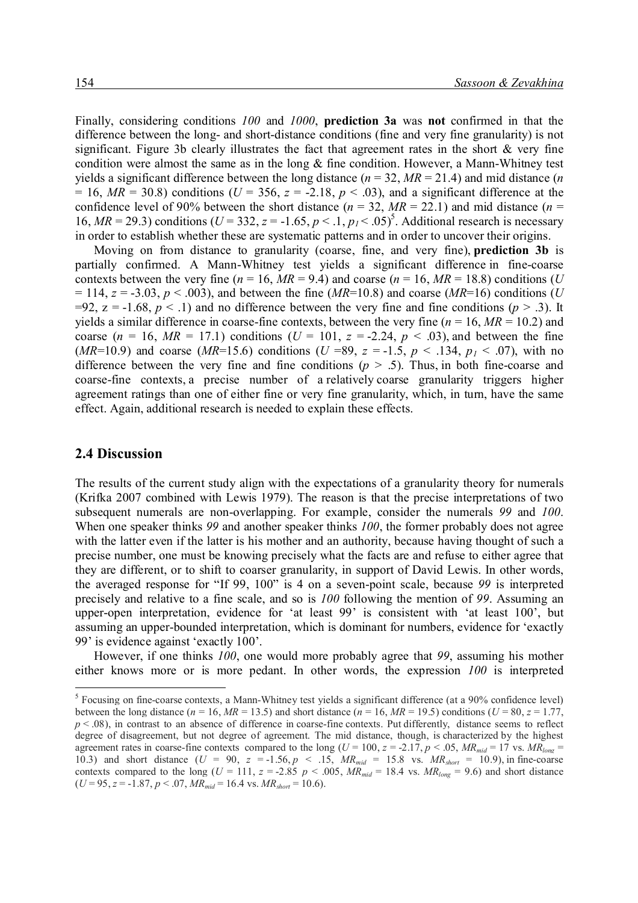Finally, considering conditions *100* and *1000*, **prediction 3a** was **not** confirmed in that the difference between the long- and short-distance conditions (fine and very fine granularity) is not significant. Figure 3b clearly illustrates the fact that agreement rates in the short  $\&$  very fine condition were almost the same as in the long & fine condition. However, a Mann-Whitney test yields a significant difference between the long distance  $(n = 32, MR = 21.4)$  and mid distance  $(n = 1, k = 1)$  $= 16$ ,  $MR = 30.8$ ) conditions (*U* = 356, *z* = -2.18, *p* < .03), and a significant difference at the confidence level of 90% between the short distance ( $n = 32$ ,  $MR = 22.1$ ) and mid distance ( $n =$ 16,  $MR = 29.3$ ) conditions ( $U = 332$ ,  $z = -1.65$ ,  $p < 0.1$ ,  $p<sub>1</sub> < 0.05$ <sup>5</sup>. Additional research is necessary in order to establish whether these are systematic patterns and in order to uncover their origins.

Moving on from distance to granularity (coarse, fine, and very fine), **prediction 3b** is partially confirmed. A Mann-Whitney test yields a significant difference in fine-coarse contexts between the very fine ( $n = 16$ ,  $MR = 9.4$ ) and coarse ( $n = 16$ ,  $MR = 18.8$ ) conditions (*U*  $= 114$ ,  $z = -3.03$ ,  $p < .003$ ), and between the fine (*MR*=10.8) and coarse (*MR*=16) conditions (*U* =92,  $z = -1.68$ ,  $p < 0.1$ ) and no difference between the very fine and fine conditions ( $p > 0.3$ ). It yields a similar difference in coarse-fine contexts, between the very fine  $(n = 16, MR = 10.2)$  and coarse ( $n = 16$ ,  $MR = 17.1$ ) conditions ( $U = 101$ ,  $z = -2.24$ ,  $p < .03$ ), and between the fine (*MR*=10.9) and coarse (*MR*=15.6) conditions (*U* =89,  $z = -1.5$ ,  $p < .134$ ,  $p<sub>1</sub> < .07$ ), with no difference between the very fine and fine conditions  $(p > .5)$ . Thus, in both fine-coarse and coarse-fine contexts, a precise number of a relatively coarse granularity triggers higher agreement ratings than one of either fine or very fine granularity, which, in turn, have the same effect. Again, additional research is needed to explain these effects.

#### **2.4 Discussion**

-

The results of the current study align with the expectations of a granularity theory for numerals (Krifka 2007 combined with Lewis 1979). The reason is that the precise interpretations of two subsequent numerals are non-overlapping. For example, consider the numerals *99* and *100*. When one speaker thinks *99* and another speaker thinks *100*, the former probably does not agree with the latter even if the latter is his mother and an authority, because having thought of such a precise number, one must be knowing precisely what the facts are and refuse to either agree that they are different, or to shift to coarser granularity, in support of David Lewis. In other words, the averaged response for "If 99, 100" is 4 on a seven-point scale, because *99* is interpreted precisely and relative to a fine scale, and so is *100* following the mention of *99*. Assuming an upper-open interpretation, evidence for 'at least 99' is consistent with 'at least 100', but assuming an upper-bounded interpretation, which is dominant for numbers, evidence for 'exactly 99' is evidence against 'exactly 100'.

However, if one thinks *100*, one would more probably agree that *99*, assuming his mother either knows more or is more pedant. In other words, the expression *100* is interpreted

<sup>&</sup>lt;sup>5</sup> Focusing on fine-coarse contexts, a Mann-Whitney test yields a significant difference (at a 90% confidence level) between the long distance ( $n = 16$ ,  $MR = 13.5$ ) and short distance ( $n = 16$ ,  $MR = 19.5$ ) conditions ( $U = 80$ ,  $z = 1.77$ ,  $p < .08$ ), in contrast to an absence of difference in coarse-fine contexts. Put differently, distance seems to reflect degree of disagreement, but not degree of agreement. The mid distance, though, is characterized by the highest agreement rates in coarse-fine contexts compared to the long ( $U = 100$ ,  $z = -2.17$ ,  $p < .05$ ,  $MR_{mid} = 17$  vs.  $MR_{long} =$ 10.3) and short distance  $(U = 90, z = -1.56, p < .15, MR_{mid} = 15.8$  vs.  $MR_{short} = 10.9$ , in fine-coarse contexts compared to the long ( $U = 111$ ,  $z = 2.85$   $p < .005$ ,  $MR_{mid} = 18.4$  vs.  $MR_{long} = 9.6$ ) and short distance  $(U = 95, z = -1.87, p < .07, MR<sub>mid</sub> = 16.4$  vs.  $MR<sub>short</sub> = 10.6$ .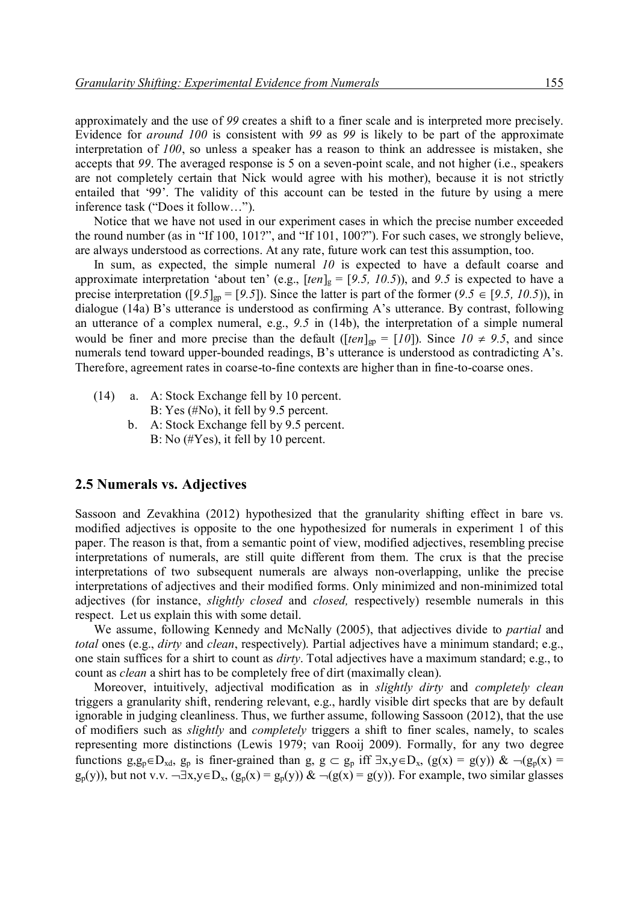approximately and the use of *99* creates a shift to a finer scale and is interpreted more precisely. Evidence for *around 100* is consistent with *99* as *99* is likely to be part of the approximate interpretation of *100*, so unless a speaker has a reason to think an addressee is mistaken, she accepts that *99*. The averaged response is 5 on a seven-point scale, and not higher (i.e., speakers are not completely certain that Nick would agree with his mother), because it is not strictly entailed that '99'. The validity of this account can be tested in the future by using a mere inference task ("Does it follow…").

Notice that we have not used in our experiment cases in which the precise number exceeded the round number (as in "If 100, 101?", and "If 101, 100?"). For such cases, we strongly believe, are always understood as corrections. At any rate, future work can test this assumption, too.

In sum, as expected, the simple numeral *10* is expected to have a default coarse and approximate interpretation 'about ten' (e.g.,  $[ten]_g = [9.5, 10.5)$ ), and 9.5 is expected to have a precise interpretation ([9.5]<sub>gp</sub> = [9.5]). Since the latter is part of the former (9.5  $\in$  [9.5, 10.5)), in dialogue (14a) B's utterance is understood as confirming A's utterance. By contrast, following an utterance of a complex numeral, e.g., *9.5* in (14b), the interpretation of a simple numeral would be finer and more precise than the default ( $[ten]_{gp} = [10]$ ). Since  $10 \neq 9.5$ , and since numerals tend toward upper-bounded readings, B's utterance is understood as contradicting A's. Therefore, agreement rates in coarse-to-fine contexts are higher than in fine-to-coarse ones.

- (14) a. A: Stock Exchange fell by 10 percent. B: Yes (#No), it fell by 9.5 percent.
	- b. A: Stock Exchange fell by 9.5 percent. B: No (#Yes), it fell by 10 percent.

#### **2.5 Numerals vs. Adjectives**

Sassoon and Zevakhina (2012) hypothesized that the granularity shifting effect in bare vs. modified adjectives is opposite to the one hypothesized for numerals in experiment 1 of this paper. The reason is that, from a semantic point of view, modified adjectives, resembling precise interpretations of numerals, are still quite different from them. The crux is that the precise interpretations of two subsequent numerals are always non-overlapping, unlike the precise interpretations of adjectives and their modified forms. Only minimized and non-minimized total adjectives (for instance, *slightly closed* and *closed,* respectively) resemble numerals in this respect. Let us explain this with some detail.

We assume, following Kennedy and McNally (2005), that adjectives divide to *partial* and *total* ones (e.g., *dirty* and *clean*, respectively). Partial adjectives have a minimum standard; e.g., one stain suffices for a shirt to count as *dirty*. Total adjectives have a maximum standard; e.g., to count as *clean* a shirt has to be completely free of dirt (maximally clean).

Moreover, intuitively, adjectival modification as in *slightly dirty* and *completely clean* triggers a granularity shift, rendering relevant, e.g., hardly visible dirt specks that are by default ignorable in judging cleanliness. Thus, we further assume, following Sassoon (2012), that the use of modifiers such as *slightly* and *completely* triggers a shift to finer scales, namely, to scales representing more distinctions (Lewis 1979; van Rooij 2009). Formally, for any two degree functions g,g<sub>p</sub> $\in$ D<sub>xd</sub>, g<sub>p</sub> is finer-grained than g, g  $\subset$  g<sub>p</sub> iff  $\exists x,y\in D_x$ , (g(x) = g(y)) &  $\neg$ (g<sub>p</sub>(x) =  $g_p(y)$ ), but not v.v.  $\neg \exists x,y \in D_x$ ,  $(g_p(x) = g_p(y))$  &  $\neg (g(x) = g(y))$ . For example, two similar glasses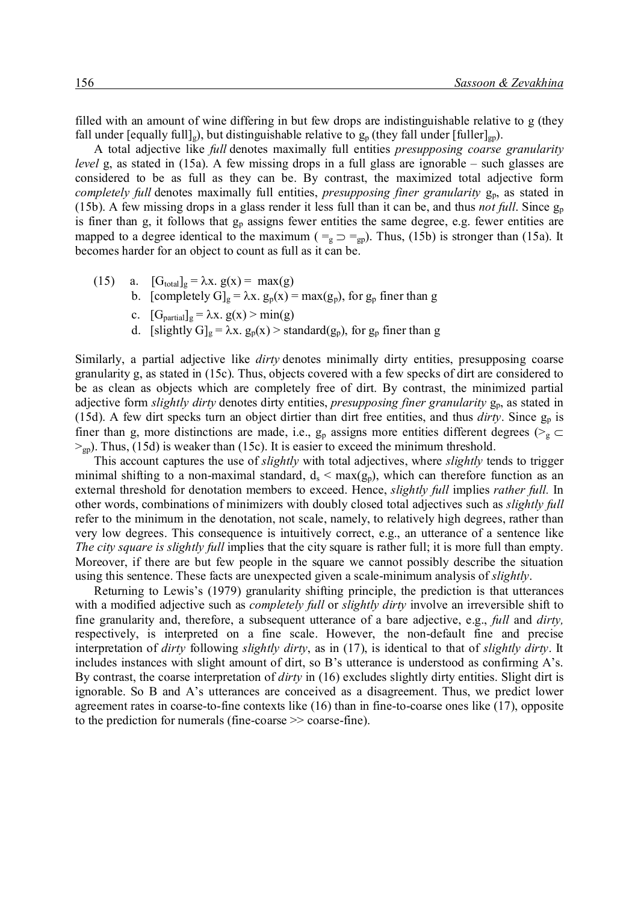filled with an amount of wine differing in but few drops are indistinguishable relative to g (they fall under [equally full]<sub>g</sub>), but distinguishable relative to  $g_p$  (they fall under [fuller]<sub>gp</sub>).

A total adjective like *full* denotes maximally full entities *presupposing coarse granularity level* g, as stated in (15a). A few missing drops in a full glass are ignorable – such glasses are considered to be as full as they can be. By contrast, the maximized total adjective form *completely full* denotes maximally full entities, *presupposing finer granularity*  $g_{p}$ , as stated in (15b). A few missing drops in a glass render it less full than it can be, and thus *not full*. Since g<sup>p</sup> is finer than g, it follows that  $g_p$  assigns fewer entities the same degree, e.g. fewer entities are mapped to a degree identical to the maximum ( $\tau_g \supset \tau_{gp}$ ). Thus, (15b) is stronger than (15a). It becomes harder for an object to count as full as it can be.

- (15) a.  $[G_{\text{total}}]_g = \lambda x. g(x) = \max(g)$ 
	- b. [completely  $G]_g = \lambda x$ .  $g_p(x) = max(g_p)$ , for  $g_p$  finer than g
	- c.  $[G<sub>partial</sub>]<sub>g</sub> = \lambda x. g(x) > min(g)$
	- d. [slightly  $G|_g = \lambda x$ .  $g_p(x) >$  standard( $g_p$ ), for  $g_p$  finer than g

Similarly, a partial adjective like *dirty* denotes minimally dirty entities, presupposing coarse granularity g, as stated in (15c). Thus, objects covered with a few specks of dirt are considered to be as clean as objects which are completely free of dirt. By contrast, the minimized partial adjective form *slightly dirty* denotes dirty entities, *presupposing finer granularity*  $g_p$ , as stated in (15d). A few dirt specks turn an object dirtier than dirt free entities, and thus  $\frac{dirty}{}$ . Since  $g_p$  is finer than g, more distinctions are made, i.e.,  $g_p$  assigns more entities different degrees ( $>g \subset$  $>_{gp}$ ). Thus, (15d) is weaker than (15c). It is easier to exceed the minimum threshold.

This account captures the use of *slightly* with total adjectives, where *slightly* tends to trigger minimal shifting to a non-maximal standard,  $d_s < max(g_p)$ , which can therefore function as an external threshold for denotation members to exceed. Hence, *slightly full* implies *rather full.* In other words, combinations of minimizers with doubly closed total adjectives such as *slightly full*  refer to the minimum in the denotation, not scale, namely, to relatively high degrees, rather than very low degrees. This consequence is intuitively correct, e.g., an utterance of a sentence like *The city square is slightly full implies that the city square is rather full; it is more full than empty.* Moreover, if there are but few people in the square we cannot possibly describe the situation using this sentence. These facts are unexpected given a scale-minimum analysis of *slightly*.

Returning to Lewis's (1979) granularity shifting principle, the prediction is that utterances with a modified adjective such as *completely full* or *slightly dirty* involve an irreversible shift to fine granularity and, therefore, a subsequent utterance of a bare adjective, e.g., *full* and *dirty,*  respectively, is interpreted on a fine scale. However, the non-default fine and precise interpretation of *dirty* following *slightly dirty*, as in (17), is identical to that of *slightly dirty*. It includes instances with slight amount of dirt, so B's utterance is understood as confirming A's. By contrast, the coarse interpretation of *dirty* in (16) excludes slightly dirty entities. Slight dirt is ignorable. So B and A's utterances are conceived as a disagreement. Thus, we predict lower agreement rates in coarse-to-fine contexts like (16) than in fine-to-coarse ones like (17), opposite to the prediction for numerals (fine-coarse >> coarse-fine).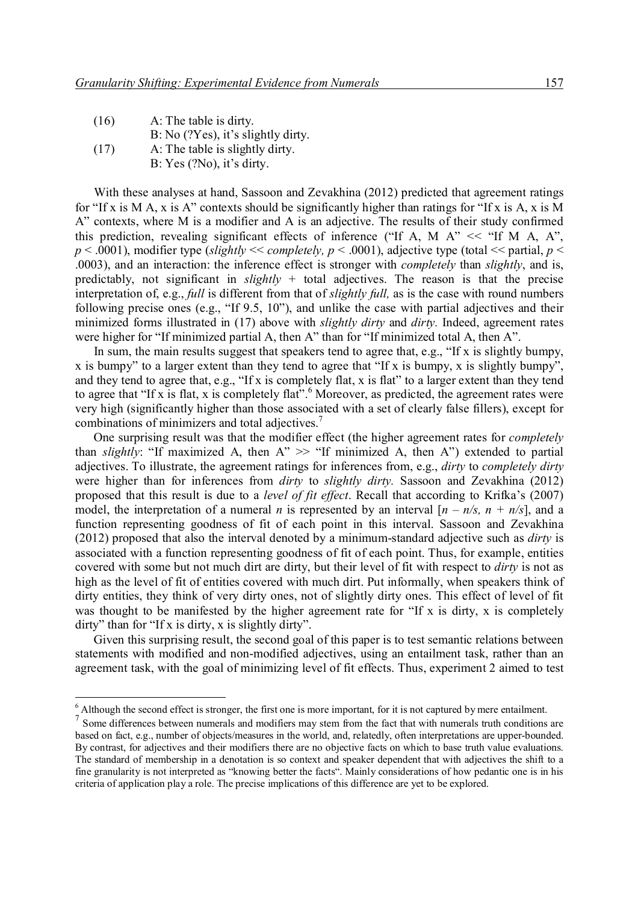| (16) | A: The table is dirty.               |
|------|--------------------------------------|
|      | $B: No$ (?Yes), it's slightly dirty. |
| (17) | A: The table is slightly dirty.      |
|      | B: Yes (?No), it's dirty.            |

With these analyses at hand, Sassoon and Zevakhina (2012) predicted that agreement ratings for "If x is M A, x is A" contexts should be significantly higher than ratings for "If x is A, x is M A" contexts, where M is a modifier and A is an adjective. The results of their study confirmed this prediction, revealing significant effects of inference ("If A, M  $A$ " << "If M A,  $A$ ",  $p$  < .0001), modifier type (*slightly* << *completely*,  $p$  < .0001), adjective type (total << partial,  $p$  < .0003), and an interaction: the inference effect is stronger with *completely* than *slightly*, and is, predictably, not significant in *slightly* + total adjectives. The reason is that the precise interpretation of, e.g., *full* is different from that of *slightly full,* as is the case with round numbers following precise ones (e.g., "If 9.5, 10"), and unlike the case with partial adjectives and their minimized forms illustrated in (17) above with *slightly dirty* and *dirty.* Indeed, agreement rates were higher for "If minimized partial A, then A" than for "If minimized total A, then A".

In sum, the main results suggest that speakers tend to agree that, e.g., "If x is slightly bumpy, x is bumpy" to a larger extent than they tend to agree that "If x is bumpy, x is slightly bumpy", and they tend to agree that, e.g., "If x is completely flat, x is flat" to a larger extent than they tend to agree that "If x is flat, x is completely flat".<sup>6</sup> Moreover, as predicted, the agreement rates were very high (significantly higher than those associated with a set of clearly false fillers), except for combinations of minimizers and total adjectives. 7

One surprising result was that the modifier effect (the higher agreement rates for *completely*  than *slightly*: "If maximized A, then  $A'' \gg$  "If minimized A, then A") extended to partial adjectives. To illustrate, the agreement ratings for inferences from, e.g., *dirty* to *completely dirty* were higher than for inferences from *dirty* to *slightly dirty.* Sassoon and Zevakhina (2012) proposed that this result is due to a *level of fit effect*. Recall that according to Krifka's (2007) model, the interpretation of a numeral *n* is represented by an interval  $[n - n/s, n + n/s]$ , and a function representing goodness of fit of each point in this interval. Sassoon and Zevakhina (2012) proposed that also the interval denoted by a minimum-standard adjective such as *dirty* is associated with a function representing goodness of fit of each point. Thus, for example, entities covered with some but not much dirt are dirty, but their level of fit with respect to *dirty* is not as high as the level of fit of entities covered with much dirt. Put informally, when speakers think of dirty entities, they think of very dirty ones, not of slightly dirty ones. This effect of level of fit was thought to be manifested by the higher agreement rate for "If x is dirty, x is completely dirty" than for "If x is dirty, x is slightly dirty".

Given this surprising result, the second goal of this paper is to test semantic relations between statements with modified and non-modified adjectives, using an entailment task, rather than an agreement task, with the goal of minimizing level of fit effects. Thus, experiment 2 aimed to test

 $6$  Although the second effect is stronger, the first one is more important, for it is not captured by mere entailment.

<sup>&</sup>lt;sup>7</sup> Some differences between numerals and modifiers may stem from the fact that with numerals truth conditions are based on fact, e.g., number of objects/measures in the world, and, relatedly, often interpretations are upper-bounded. By contrast, for adjectives and their modifiers there are no objective facts on which to base truth value evaluations. The standard of membership in a denotation is so context and speaker dependent that with adjectives the shift to a fine granularity is not interpreted as "knowing better the facts". Mainly considerations of how pedantic one is in his criteria of application play a role. The precise implications of this difference are yet to be explored.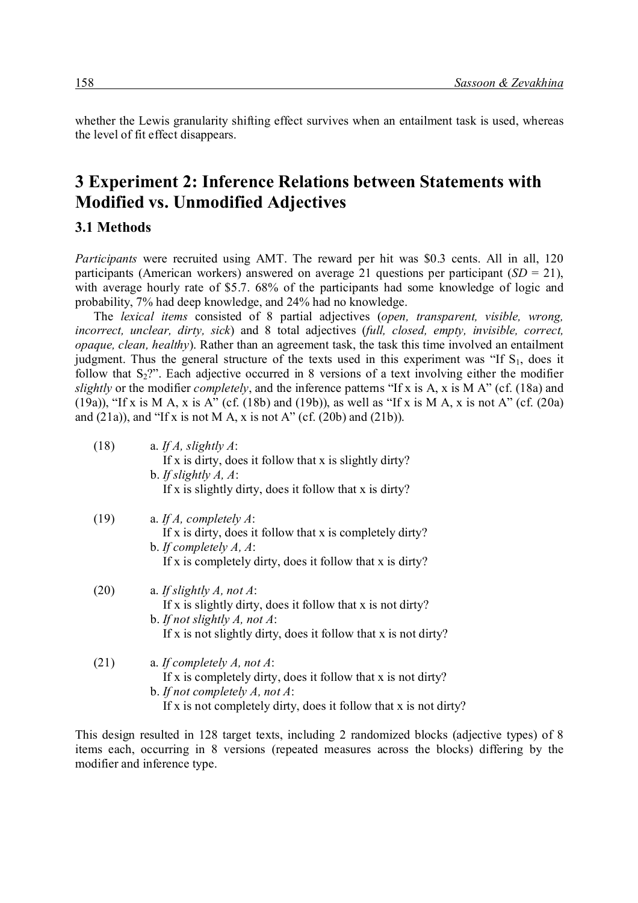whether the Lewis granularity shifting effect survives when an entailment task is used, whereas the level of fit effect disappears.

## **3 Experiment 2: Inference Relations between Statements with Modified vs. Unmodified Adjectives**

#### **3.1 Methods**

*Participants* were recruited using AMT. The reward per hit was \$0.3 cents. All in all, 120 participants (American workers) answered on average 21 questions per participant  $(SD = 21)$ , with average hourly rate of \$5.7. 68% of the participants had some knowledge of logic and probability, 7% had deep knowledge, and 24% had no knowledge.

The *lexical items* consisted of 8 partial adjectives (*open, transparent, visible, wrong, incorrect, unclear, dirty, sick*) and 8 total adjectives (*full, closed, empty, invisible, correct, opaque, clean, healthy*). Rather than an agreement task, the task this time involved an entailment judgment. Thus the general structure of the texts used in this experiment was "If  $S<sub>1</sub>$ , does it follow that  $S_2$ ?". Each adjective occurred in 8 versions of a text involving either the modifier *slightly* or the modifier *completely*, and the inference patterns "If x is A, x is M A" (cf. (18a) and (19a)), "If x is M A, x is A" (cf. (18b) and (19b)), as well as "If x is M A, x is not A" (cf. (20a) and  $(21a)$ , and "If x is not M A, x is not A" (cf.  $(20b)$  and  $(21b)$ ).

| (18) | a. If $A$ , slightly $A$ :<br>If x is dirty, does it follow that x is slightly dirty?<br>b. If slightly $A, A$ :<br>If x is slightly dirty, does it follow that x is dirty?                         |
|------|-----------------------------------------------------------------------------------------------------------------------------------------------------------------------------------------------------|
| (19) | a. If $A$ , completely $A$ :<br>If x is dirty, does it follow that x is completely dirty?<br>b. If completely $A, A$ :<br>If x is completely dirty, does it follow that x is dirty?                 |
| (20) | a. If slightly A, not $A$ :<br>If x is slightly dirty, does it follow that x is not dirty?<br>b. If not slightly $A$ , not $A$ :<br>If x is not slightly dirty, does it follow that x is not dirty? |
| (21) | a. If completely A, not $A$ :<br>If x is completely dirty, does it follow that x is not dirty?<br>b. If not completely A, not A:                                                                    |

This design resulted in 128 target texts, including 2 randomized blocks (adjective types) of 8 items each, occurring in 8 versions (repeated measures across the blocks) differing by the modifier and inference type.

If x is not completely dirty, does it follow that x is not dirty?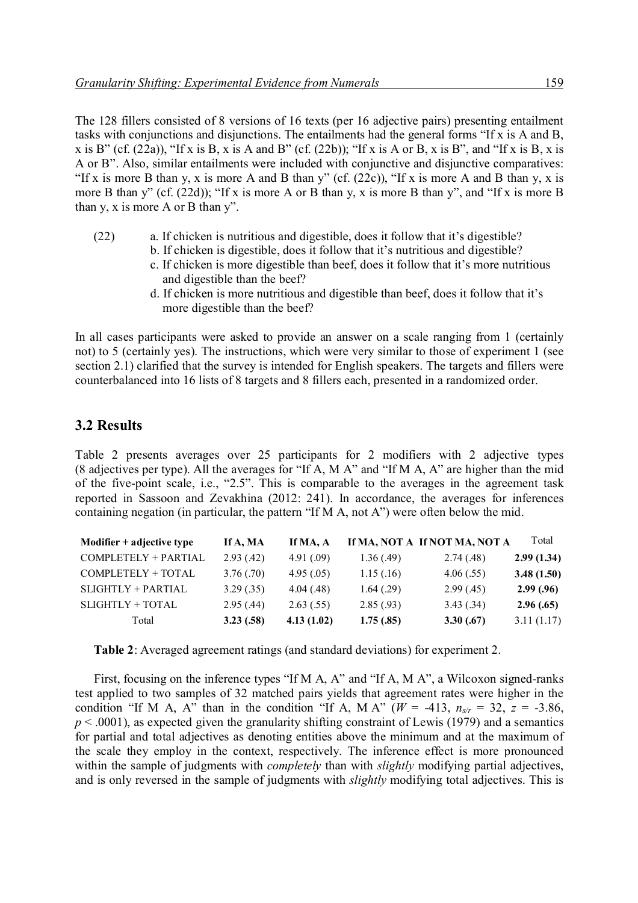The 128 fillers consisted of 8 versions of 16 texts (per 16 adjective pairs) presenting entailment tasks with conjunctions and disjunctions. The entailments had the general forms "If x is A and B, x is B" (cf.  $(22a)$ ), "If x is B, x is A and B" (cf.  $(22b)$ ); "If x is A or B, x is B", and "If x is B, x is A or B". Also, similar entailments were included with conjunctive and disjunctive comparatives: "If x is more B than y, x is more A and B than y" (cf.  $(22c)$ ), "If x is more A and B than y, x is more B than y" (cf. (22d)); "If x is more A or B than y, x is more B than y", and "If x is more B than y, x is more A or B than y".

- (22) a. If chicken is nutritious and digestible, does it follow that it's digestible?
	- b. If chicken is digestible, does it follow that it's nutritious and digestible?
		- c. If chicken is more digestible than beef, does it follow that it's more nutritious and digestible than the beef?
		- d. If chicken is more nutritious and digestible than beef, does it follow that it's more digestible than the beef?

In all cases participants were asked to provide an answer on a scale ranging from 1 (certainly not) to 5 (certainly yes). The instructions, which were very similar to those of experiment 1 (see section 2.1) clarified that the survey is intended for English speakers. The targets and fillers were counterbalanced into 16 lists of 8 targets and 8 fillers each, presented in a randomized order.

### **3.2 Results**

Table 2 presents averages over 25 participants for 2 modifiers with 2 adjective types (8 adjectives per type). All the averages for "If A, M A" and "If M A, A" are higher than the mid of the five-point scale, i.e., "2.5". This is comparable to the averages in the agreement task reported in Sassoon and Zevakhina (2012: 241). In accordance, the averages for inferences containing negation (in particular, the pattern "If M A, not A") were often below the mid.

| Modifier $+$ adjective type | If A, MA   | If MA, A   |            | If MA, NOT A If NOT MA, NOT A | Total      |
|-----------------------------|------------|------------|------------|-------------------------------|------------|
| COMPLETELY + PARTIAL        | 2.93(0.42) | 4.91(0.09) | 1.36(.49)  | 2.74(0.48)                    | 2.99(1.34) |
| COMPLETELY + TOTAL          | 3.76(.70)  | 4.95(.05)  | 1.15(0.16) | 4.06(.55)                     | 3.48(1.50) |
| SLIGHTLY + PARTIAL          | 3.29(.35)  | 4.04(0.48) | 1.64(0.29) | 2.99(0.45)                    | 2.99(0.96) |
| SLIGHTLY + TOTAL            | 2.95(0.44) | 2.63(.55)  | 2.85(.93)  | 3.43(.34)                     | 2.96(.65)  |
| Total                       | 3.23(58)   | 4.13(1.02) | 1.75(.85)  | 3.30(0.67)                    | 3.11(1.17) |

**Table 2**: Averaged agreement ratings (and standard deviations) for experiment 2.

First, focusing on the inference types "If M A, A" and "If A, M A", a Wilcoxon signed-ranks test applied to two samples of 32 matched pairs yields that agreement rates were higher in the condition "If M A, A" than in the condition "If A, M A" ( $W = -413$ ,  $n_{s/r} = 32$ ,  $z = -3.86$ ,  $p < .0001$ ), as expected given the granularity shifting constraint of Lewis (1979) and a semantics for partial and total adjectives as denoting entities above the minimum and at the maximum of the scale they employ in the context, respectively. The inference effect is more pronounced within the sample of judgments with *completely* than with *slightly* modifying partial adjectives, and is only reversed in the sample of judgments with *slightly* modifying total adjectives. This is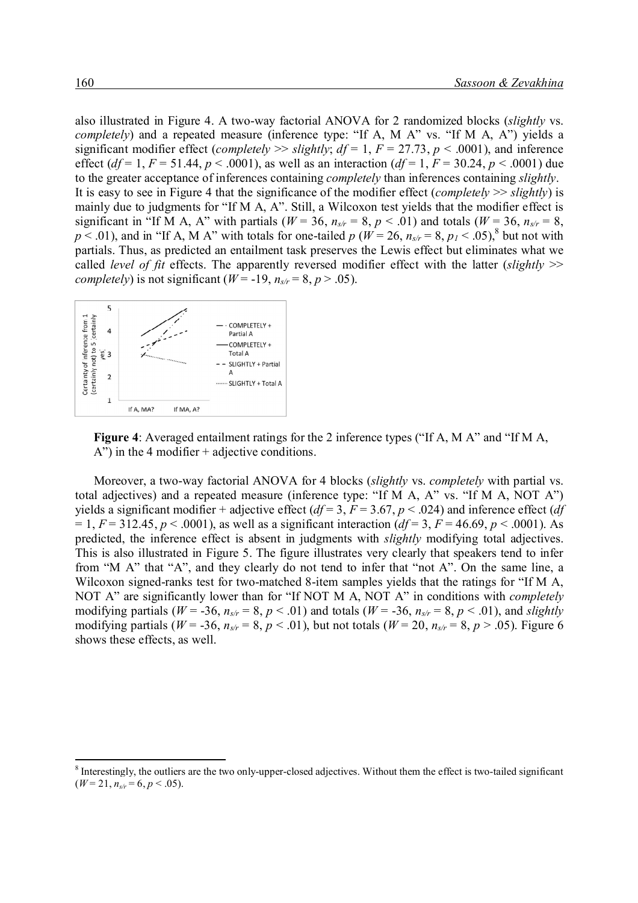also illustrated in Figure 4. A two-way factorial ANOVA for 2 randomized blocks (*slightly* vs. *completely*) and a repeated measure (inference type: "If A, M A" vs. "If M A, A") yields a significant modifier effect (*completely*  $\gg$  *slightly; df* = 1, *F* = 27.73, *p* < .0001), and inference effect ( $df = 1$ ,  $F = 51.44$ ,  $p < .0001$ ), as well as an interaction ( $df = 1$ ,  $F = 30.24$ ,  $p < .0001$ ) due to the greater acceptance of inferences containing *completely* than inferences containing *slightly*. It is easy to see in Figure 4 that the significance of the modifier effect (*completely* >> *slightly*) is mainly due to judgments for "If M A, A". Still, a Wilcoxon test yields that the modifier effect is significant in "If M A, A" with partials ( $W = 36$ ,  $n_{s/r} = 8$ ,  $p < .01$ ) and totals ( $W = 36$ ,  $n_{s/r} = 8$ ,  $p < .01$ ), and in "If A, M A" with totals for one-tailed  $p$  ( $W = 26$ ,  $n_{s/r} = 8$ ,  $p_1 < .05$ ), but not with partials. Thus, as predicted an entailment task preserves the Lewis effect but eliminates what we called *level of fit* effects. The apparently reversed modifier effect with the latter (*slightly* >> *completely*) is not significant ( $W = -19$ ,  $n_{s/r} = 8$ ,  $p > .05$ ).



**Figure 4**: Averaged entailment ratings for the 2 inference types ("If A, M A" and "If M A, A") in the 4 modifier + adjective conditions.

Moreover, a two-way factorial ANOVA for 4 blocks (*slightly* vs. *completely* with partial vs. total adjectives) and a repeated measure (inference type: "If M A, A" vs. "If M A, NOT A") yields a significant modifier + adjective effect ( $df = 3$ ,  $F = 3.67$ ,  $p < .024$ ) and inference effect ( $df$  $= 1, F = 312.45, p < .0001$ , as well as a significant interaction (*df* = 3, *F* = 46.69, *p* < .0001). As predicted, the inference effect is absent in judgments with *slightly* modifying total adjectives. This is also illustrated in Figure 5. The figure illustrates very clearly that speakers tend to infer from "M A" that "A", and they clearly do not tend to infer that "not A". On the same line, a Wilcoxon signed-ranks test for two-matched 8-item samples yields that the ratings for "If M A, NOT A" are significantly lower than for "If NOT M A, NOT A" in conditions with *completely* modifying partials ( $W = -36$ ,  $n_{s/r} = 8$ ,  $p < .01$ ) and totals ( $W = -36$ ,  $n_{s/r} = 8$ ,  $p < .01$ ), and *slightly* modifying partials ( $W = -36$ ,  $n_{s/r} = 8$ ,  $p < .01$ ), but not totals ( $W = 20$ ,  $n_{s/r} = 8$ ,  $p > .05$ ). Figure 6 shows these effects, as well.

 $8$  Interestingly, the outliers are the two only-upper-closed adjectives. Without them the effect is two-tailed significant  $(W = 21, n_{s/r} = 6, p < .05)$ .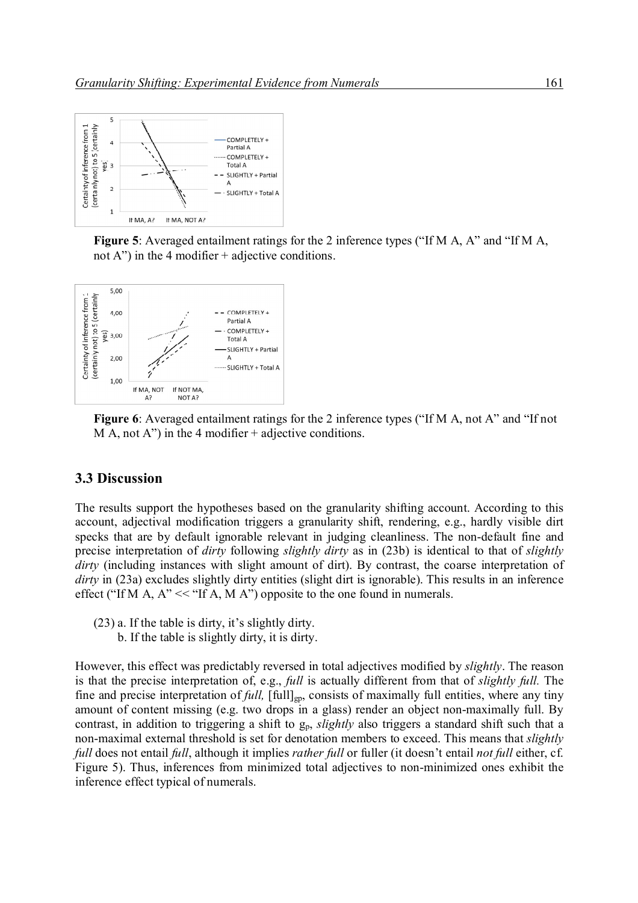

**Figure 5**: Averaged entailment ratings for the 2 inference types ("If M A, A" and "If M A, not A") in the 4 modifier  $+$  adjective conditions.



**Figure 6**: Averaged entailment ratings for the 2 inference types ("If M A, not A" and "If not  $M A$ , not A") in the 4 modifier + adjective conditions.

#### **3.3 Discussion**

The results support the hypotheses based on the granularity shifting account. According to this account, adjectival modification triggers a granularity shift, rendering, e.g., hardly visible dirt specks that are by default ignorable relevant in judging cleanliness. The non-default fine and precise interpretation of *dirty* following *slightly dirty* as in (23b) is identical to that of *slightly dirty* (including instances with slight amount of dirt). By contrast, the coarse interpretation of *dirty* in (23a) excludes slightly dirty entities (slight dirt is ignorable). This results in an inference effect ("If M A,  $A$ " << "If A, M A") opposite to the one found in numerals.

- (23) a. If the table is dirty, it's slightly dirty.
	- b. If the table is slightly dirty, it is dirty.

However, this effect was predictably reversed in total adjectives modified by *slightly*. The reason is that the precise interpretation of, e.g., *full* is actually different from that of *slightly full.* The fine and precise interpretation of *full*, [full]<sub>gp</sub>, consists of maximally full entities, where any tiny amount of content missing (e.g. two drops in a glass) render an object non-maximally full. By contrast, in addition to triggering a shift to g<sub>p</sub>, *slightly* also triggers a standard shift such that a non-maximal external threshold is set for denotation members to exceed. This means that *slightly full* does not entail *full*, although it implies *rather full* or fuller (it doesn't entail *not full* either, cf. Figure 5). Thus, inferences from minimized total adjectives to non-minimized ones exhibit the inference effect typical of numerals.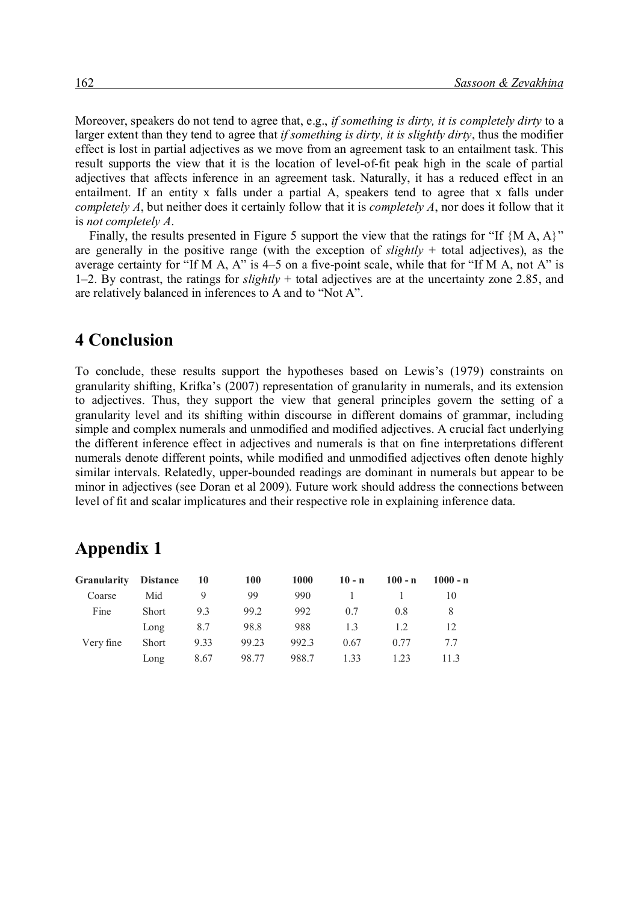Moreover, speakers do not tend to agree that, e.g., *if something is dirty, it is completely dirty* to a larger extent than they tend to agree that *if something is dirty, it is slightly dirty*, thus the modifier effect is lost in partial adjectives as we move from an agreement task to an entailment task. This result supports the view that it is the location of level-of-fit peak high in the scale of partial adjectives that affects inference in an agreement task. Naturally, it has a reduced effect in an entailment. If an entity x falls under a partial A, speakers tend to agree that x falls under *completely A*, but neither does it certainly follow that it is *completely A*, nor does it follow that it is *not completely A*.

Finally, the results presented in Figure 5 support the view that the ratings for "If  ${M A, A}$ " are generally in the positive range (with the exception of *slightly* + total adjectives), as the average certainty for "If M A, A" is 4–5 on a five-point scale, while that for "If M A, not A" is 1–2. By contrast, the ratings for *slightly* + total adjectives are at the uncertainty zone 2.85, and are relatively balanced in inferences to A and to "Not A".

### **4 Conclusion**

To conclude, these results support the hypotheses based on Lewis's (1979) constraints on granularity shifting, Krifka's (2007) representation of granularity in numerals, and its extension to adjectives. Thus, they support the view that general principles govern the setting of a granularity level and its shifting within discourse in different domains of grammar, including simple and complex numerals and unmodified and modified adjectives. A crucial fact underlying the different inference effect in adjectives and numerals is that on fine interpretations different numerals denote different points, while modified and unmodified adjectives often denote highly similar intervals. Relatedly, upper-bounded readings are dominant in numerals but appear to be minor in adjectives (see Doran et al 2009). Future work should address the connections between level of fit and scalar implicatures and their respective role in explaining inference data.

# **Appendix 1**

| <b>Granularity</b> | <b>Distance</b> | 10   | <b>100</b> | 1000  | $10 - n$ | $100 - n$ | $1000 - n$ |
|--------------------|-----------------|------|------------|-------|----------|-----------|------------|
| Coarse             | Mid             | 9    | 99         | 990   |          |           | 10         |
| Fine               | <b>Short</b>    | 93   | 99.2       | 992   | 0.7      | 0.8       | 8          |
|                    | Long            | 8.7  | 98.8       | 988   | 13       | 1.2       | 12         |
| Very fine          | <b>Short</b>    | 9.33 | 99.23      | 992.3 | 0.67     | 0.77      |            |
|                    | Long            | 8.67 | 98.77      | 988.7 | 1.33     | 1.23      | 113        |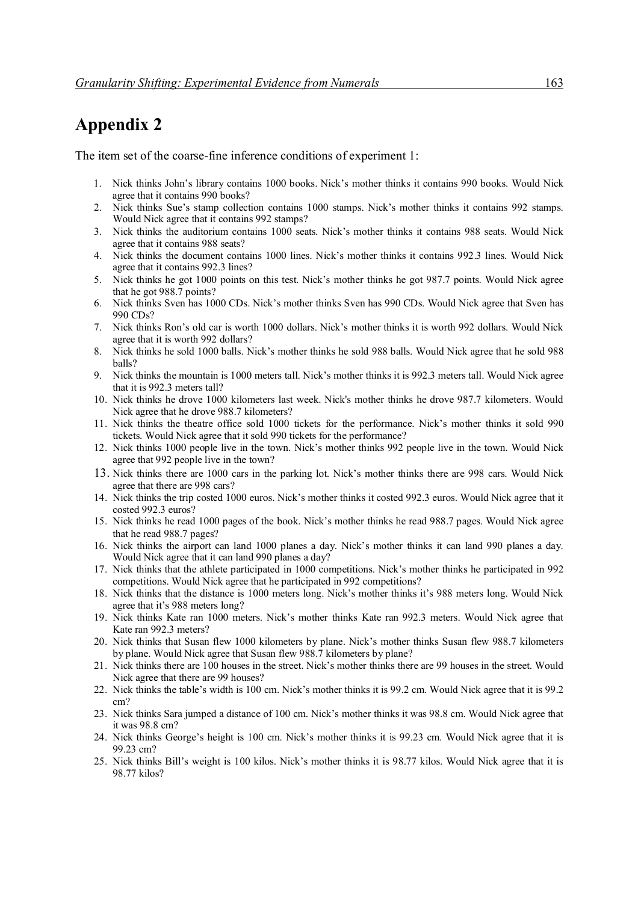### **Appendix 2**

The item set of the coarse-fine inference conditions of experiment 1:

- 1. Nick thinks John's library contains 1000 books. Nick's mother thinks it contains 990 books. Would Nick agree that it contains 990 books?
- 2. Nick thinks Sue's stamp collection contains 1000 stamps. Nick's mother thinks it contains 992 stamps. Would Nick agree that it contains 992 stamps?
- 3. Nick thinks the auditorium contains 1000 seats. Nick's mother thinks it contains 988 seats. Would Nick agree that it contains 988 seats?
- 4. Nick thinks the document contains 1000 lines. Nick's mother thinks it contains 992.3 lines. Would Nick agree that it contains 992.3 lines?
- 5. Nick thinks he got 1000 points on this test. Nick's mother thinks he got 987.7 points. Would Nick agree that he got 988.7 points?
- 6. Nick thinks Sven has 1000 CDs. Nick's mother thinks Sven has 990 CDs. Would Nick agree that Sven has 990 CDs?
- 7. Nick thinks Ron's old car is worth 1000 dollars. Nick's mother thinks it is worth 992 dollars. Would Nick agree that it is worth 992 dollars?
- 8. Nick thinks he sold 1000 balls. Nick's mother thinks he sold 988 balls. Would Nick agree that he sold 988 balls?
- 9. Nick thinks the mountain is 1000 meters tall. Nick's mother thinks it is 992.3 meters tall. Would Nick agree that it is 992.3 meters tall?
- 10. Nick thinks he drove 1000 kilometers last week. Nick's mother thinks he drove 987.7 kilometers. Would Nick agree that he drove 988.7 kilometers?
- 11. Nick thinks the theatre office sold 1000 tickets for the performance. Nick's mother thinks it sold 990 tickets. Would Nick agree that it sold 990 tickets for the performance?
- 12. Nick thinks 1000 people live in the town. Nick's mother thinks 992 people live in the town. Would Nick agree that 992 people live in the town?
- 13. Nick thinks there are 1000 cars in the parking lot. Nick's mother thinks there are 998 cars. Would Nick agree that there are 998 cars?
- 14. Nick thinks the trip costed 1000 euros. Nick's mother thinks it costed 992.3 euros. Would Nick agree that it costed 992.3 euros?
- 15. Nick thinks he read 1000 pages of the book. Nick's mother thinks he read 988.7 pages. Would Nick agree that he read 988.7 pages?
- 16. Nick thinks the airport can land 1000 planes a day. Nick's mother thinks it can land 990 planes a day. Would Nick agree that it can land 990 planes a day?
- 17. Nick thinks that the athlete participated in 1000 competitions. Nick's mother thinks he participated in 992 competitions. Would Nick agree that he participated in 992 competitions?
- 18. Nick thinks that the distance is 1000 meters long. Nick's mother thinks it's 988 meters long. Would Nick agree that it's 988 meters long?
- 19. Nick thinks Kate ran 1000 meters. Nick's mother thinks Kate ran 992.3 meters. Would Nick agree that Kate ran 992.3 meters?
- 20. Nick thinks that Susan flew 1000 kilometers by plane. Nick's mother thinks Susan flew 988.7 kilometers by plane. Would Nick agree that Susan flew 988.7 kilometers by plane?
- 21. Nick thinks there are 100 houses in the street. Nick's mother thinks there are 99 houses in the street. Would Nick agree that there are 99 houses?
- 22. Nick thinks the table's width is 100 cm. Nick's mother thinks it is 99.2 cm. Would Nick agree that it is 99.2 cm?
- 23. Nick thinks Sara jumped a distance of 100 cm. Nick's mother thinks it was 98.8 cm. Would Nick agree that it was 98.8 cm?
- 24. Nick thinks George's height is 100 cm. Nick's mother thinks it is 99.23 cm. Would Nick agree that it is 99.23 cm?
- 25. Nick thinks Bill's weight is 100 kilos. Nick's mother thinks it is 98.77 kilos. Would Nick agree that it is 98.77 kilos?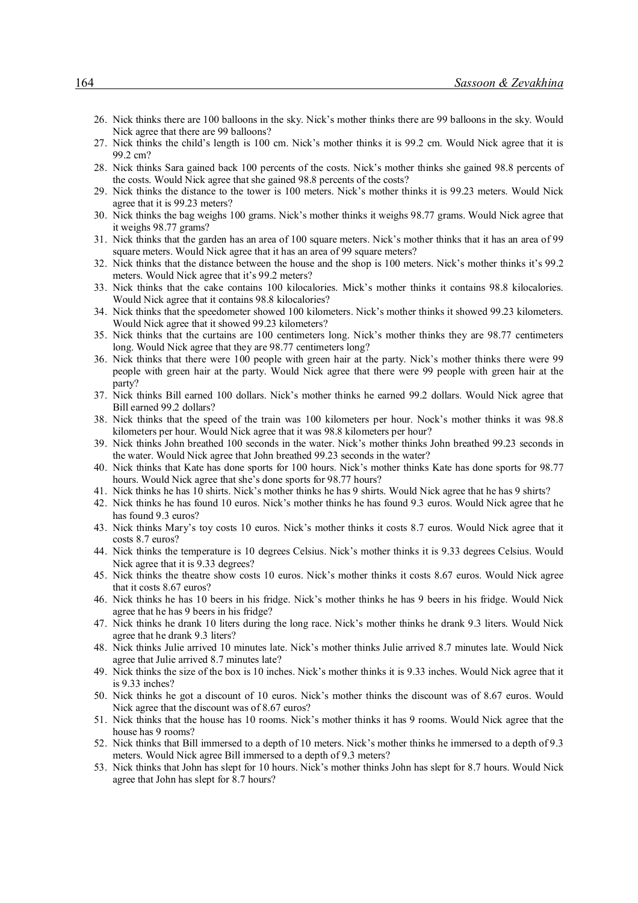- 26. Nick thinks there are 100 balloons in the sky. Nick's mother thinks there are 99 balloons in the sky. Would Nick agree that there are 99 balloons?
- 27. Nick thinks the child's length is 100 cm. Nick's mother thinks it is 99.2 cm. Would Nick agree that it is 99.2 cm?
- 28. Nick thinks Sara gained back 100 percents of the costs. Nick's mother thinks she gained 98.8 percents of the costs. Would Nick agree that she gained 98.8 percents of the costs?
- 29. Nick thinks the distance to the tower is 100 meters. Nick's mother thinks it is 99.23 meters. Would Nick agree that it is 99.23 meters?
- 30. Nick thinks the bag weighs 100 grams. Nick's mother thinks it weighs 98.77 grams. Would Nick agree that it weighs 98.77 grams?
- 31. Nick thinks that the garden has an area of 100 square meters. Nick's mother thinks that it has an area of 99 square meters. Would Nick agree that it has an area of 99 square meters?
- 32. Nick thinks that the distance between the house and the shop is 100 meters. Nick's mother thinks it's 99.2 meters. Would Nick agree that it's 99.2 meters?
- 33. Nick thinks that the cake contains 100 kilocalories. Mick's mother thinks it contains 98.8 kilocalories. Would Nick agree that it contains 98.8 kilocalories?
- 34. Nick thinks that the speedometer showed 100 kilometers. Nick's mother thinks it showed 99.23 kilometers. Would Nick agree that it showed 99.23 kilometers?
- 35. Nick thinks that the curtains are 100 centimeters long. Nick's mother thinks they are 98.77 centimeters long. Would Nick agree that they are 98.77 centimeters long?
- 36. Nick thinks that there were 100 people with green hair at the party. Nick's mother thinks there were 99 people with green hair at the party. Would Nick agree that there were 99 people with green hair at the party?
- 37. Nick thinks Bill earned 100 dollars. Nick's mother thinks he earned 99.2 dollars. Would Nick agree that Bill earned 99.2 dollars?
- 38. Nick thinks that the speed of the train was 100 kilometers per hour. Nock's mother thinks it was 98.8 kilometers per hour. Would Nick agree that it was 98.8 kilometers per hour?
- 39. Nick thinks John breathed 100 seconds in the water. Nick's mother thinks John breathed 99.23 seconds in the water. Would Nick agree that John breathed 99.23 seconds in the water?
- 40. Nick thinks that Kate has done sports for 100 hours. Nick's mother thinks Kate has done sports for 98.77 hours. Would Nick agree that she's done sports for 98.77 hours?
- 41. Nick thinks he has 10 shirts. Nick's mother thinks he has 9 shirts. Would Nick agree that he has 9 shirts?
- 42. Nick thinks he has found 10 euros. Nick's mother thinks he has found 9.3 euros. Would Nick agree that he has found 9.3 euros?
- 43. Nick thinks Mary's toy costs 10 euros. Nick's mother thinks it costs 8.7 euros. Would Nick agree that it costs 8.7 euros?
- 44. Nick thinks the temperature is 10 degrees Celsius. Nick's mother thinks it is 9.33 degrees Celsius. Would Nick agree that it is 9.33 degrees?
- 45. Nick thinks the theatre show costs 10 euros. Nick's mother thinks it costs 8.67 euros. Would Nick agree that it costs 8.67 euros?
- 46. Nick thinks he has 10 beers in his fridge. Nick's mother thinks he has 9 beers in his fridge. Would Nick agree that he has 9 beers in his fridge?
- 47. Nick thinks he drank 10 liters during the long race. Nick's mother thinks he drank 9.3 liters. Would Nick agree that he drank 9.3 liters?
- 48. Nick thinks Julie arrived 10 minutes late. Nick's mother thinks Julie arrived 8.7 minutes late. Would Nick agree that Julie arrived 8.7 minutes late?
- 49. Nick thinks the size of the box is 10 inches. Nick's mother thinks it is 9.33 inches. Would Nick agree that it is 9.33 inches?
- 50. Nick thinks he got a discount of 10 euros. Nick's mother thinks the discount was of 8.67 euros. Would Nick agree that the discount was of 8.67 euros?
- 51. Nick thinks that the house has 10 rooms. Nick's mother thinks it has 9 rooms. Would Nick agree that the house has 9 rooms?
- 52. Nick thinks that Bill immersed to a depth of 10 meters. Nick's mother thinks he immersed to a depth of 9.3 meters. Would Nick agree Bill immersed to a depth of 9.3 meters?
- 53. Nick thinks that John has slept for 10 hours. Nick's mother thinks John has slept for 8.7 hours. Would Nick agree that John has slept for 8.7 hours?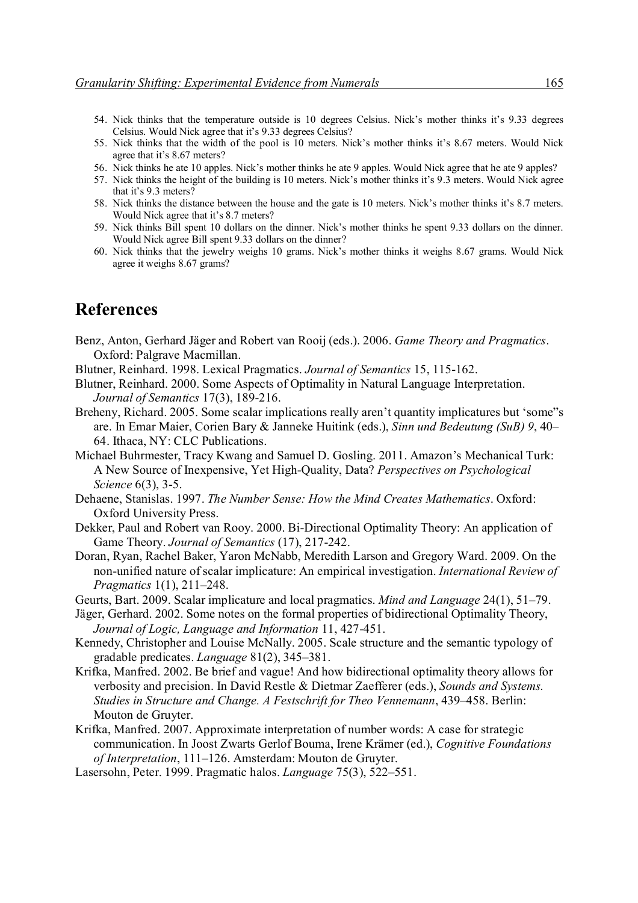- 54. Nick thinks that the temperature outside is 10 degrees Celsius. Nick's mother thinks it's 9.33 degrees Celsius. Would Nick agree that it's 9.33 degrees Celsius?
- 55. Nick thinks that the width of the pool is 10 meters. Nick's mother thinks it's 8.67 meters. Would Nick agree that it's 8.67 meters?
- 56. Nick thinks he ate 10 apples. Nick's mother thinks he ate 9 apples. Would Nick agree that he ate 9 apples?
- 57. Nick thinks the height of the building is 10 meters. Nick's mother thinks it's 9.3 meters. Would Nick agree that it's 9.3 meters?
- 58. Nick thinks the distance between the house and the gate is 10 meters. Nick's mother thinks it's 8.7 meters. Would Nick agree that it's 8.7 meters?
- 59. Nick thinks Bill spent 10 dollars on the dinner. Nick's mother thinks he spent 9.33 dollars on the dinner. Would Nick agree Bill spent 9.33 dollars on the dinner?
- 60. Nick thinks that the jewelry weighs 10 grams. Nick's mother thinks it weighs 8.67 grams. Would Nick agree it weighs 8.67 grams?

### **References**

- Benz, Anton, Gerhard Jäger and Robert van Rooij (eds.). 2006. *Game Theory and Pragmatics*. Oxford: Palgrave Macmillan.
- Blutner, Reinhard. 1998. Lexical Pragmatics. *Journal of Semantics* 15, 115-162.
- Blutner, Reinhard. 2000. Some Aspects of Optimality in Natural Language Interpretation. *Journal of Semantics* 17(3), 189-216.
- Breheny, Richard. 2005. Some scalar implications really aren't quantity implicatures but 'some"s are. In Emar Maier, Corien Bary & Janneke Huitink (eds.), *Sinn und Bedeutung (SuB) 9*, 40– 64. Ithaca, NY: CLC Publications.
- Michael Buhrmester, Tracy Kwang and Samuel D. Gosling. 2011. Amazon's Mechanical Turk: A New Source of Inexpensive, Yet High-Quality, Data? *Perspectives on Psychological Science* 6(3), 3-5.
- Dehaene, Stanislas. 1997. *The Number Sense: How the Mind Creates Mathematics*. Oxford: Oxford University Press.
- Dekker, Paul and Robert van Rooy. 2000. Bi-Directional Optimality Theory: An application of Game Theory. *Journal of Semantics* (17), 217-242.
- Doran, Ryan, Rachel Baker, Yaron McNabb, Meredith Larson and Gregory Ward. 2009. On the non-unified nature of scalar implicature: An empirical investigation. *International Review of Pragmatics* 1(1), 211–248.
- Geurts, Bart. 2009. Scalar implicature and local pragmatics. *Mind and Language* 24(1), 51–79.
- Jäger, Gerhard. 2002. Some notes on the formal properties of bidirectional Optimality Theory, *Journal of Logic, Language and Information* 11, 427-451.
- Kennedy, Christopher and Louise McNally. 2005. Scale structure and the semantic typology of gradable predicates. *Language* 81(2), 345–381.
- Krifka, Manfred. 2002. Be brief and vague! And how bidirectional optimality theory allows for verbosity and precision. In David Restle & Dietmar Zaefferer (eds.), *Sounds and Systems. Studies in Structure and Change. A Festschrift for Theo Vennemann*, 439–458. Berlin: Mouton de Gruyter.
- Krifka, Manfred. 2007. Approximate interpretation of number words: A case for strategic communication. In Joost Zwarts Gerlof Bouma, Irene Krämer (ed.), *Cognitive Foundations of Interpretation*, 111–126. Amsterdam: Mouton de Gruyter.
- Lasersohn, Peter. 1999. Pragmatic halos. *Language* 75(3), 522–551.